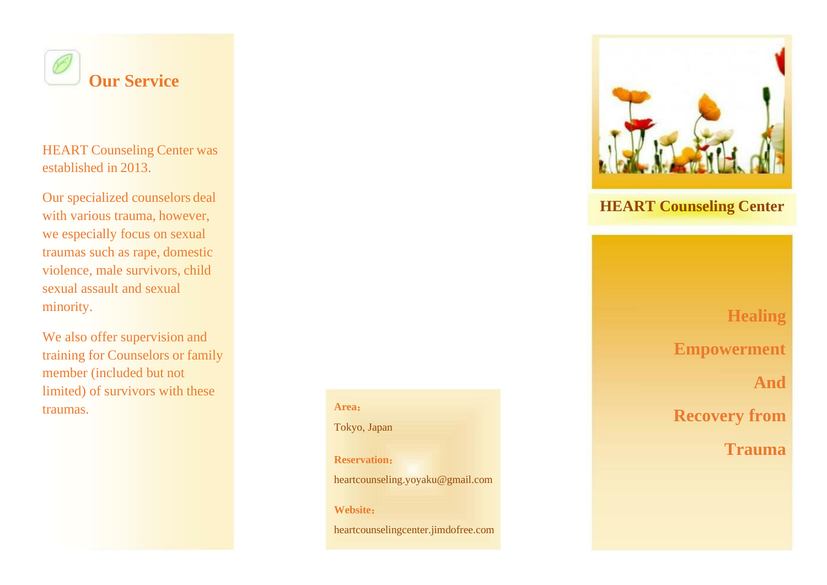

HEART Counseling Center was established in 2013.

Our specialized counselors deal with various trauma, however, we especially focus on sexual traumas such as rape, domestic violence, male survivors, child sexual assault and sexual minority.

We also offer supervision and training for Counselors or family member (included but not limited) of survivors with these traumas. **Area**:



# **HEART Counseling Center**

**Healing Empowerment**

**And**

**Recovery from**

**Trauma**

Tokyo, Japan

**Reservation**:

heartcounseling.yoyaku@gmail.com

**Website**:

[heartcounselingcenter.jimdofree.com](http://heartcounselingcenter.jimdo.com/)